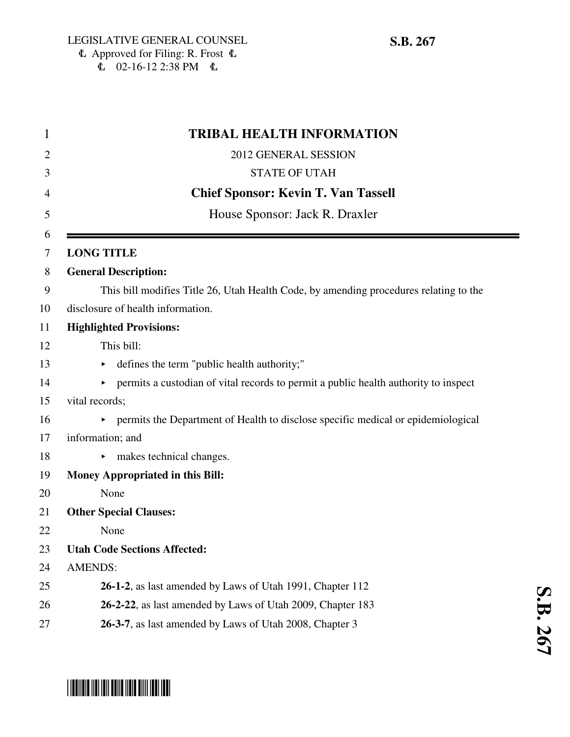| <b>TRIBAL HEALTH INFORMATION</b>                                                                             |
|--------------------------------------------------------------------------------------------------------------|
| 2012 GENERAL SESSION                                                                                         |
| <b>STATE OF UTAH</b>                                                                                         |
| <b>Chief Sponsor: Kevin T. Van Tassell</b>                                                                   |
| House Sponsor: Jack R. Draxler                                                                               |
| <b>LONG TITLE</b>                                                                                            |
| <b>General Description:</b>                                                                                  |
| This bill modifies Title 26, Utah Health Code, by amending procedures relating to the                        |
| disclosure of health information.                                                                            |
| <b>Highlighted Provisions:</b>                                                                               |
| This bill:                                                                                                   |
| defines the term "public health authority;"                                                                  |
| permits a custodian of vital records to permit a public health authority to inspect<br>$\blacktriangleright$ |
| vital records;                                                                                               |
| • permits the Department of Health to disclose specific medical or epidemiological                           |
| information; and                                                                                             |
| makes technical changes.                                                                                     |
| <b>Money Appropriated in this Bill:</b>                                                                      |
| None                                                                                                         |
| <b>Other Special Clauses:</b>                                                                                |
| None                                                                                                         |
| <b>Utah Code Sections Affected:</b>                                                                          |
| <b>AMENDS:</b>                                                                                               |
| 26-1-2, as last amended by Laws of Utah 1991, Chapter 112                                                    |
| 26-2-22, as last amended by Laws of Utah 2009, Chapter 183                                                   |
| 26-3-7, as last amended by Laws of Utah 2008, Chapter 3                                                      |

**S.B. 267**

# \*SB0267\*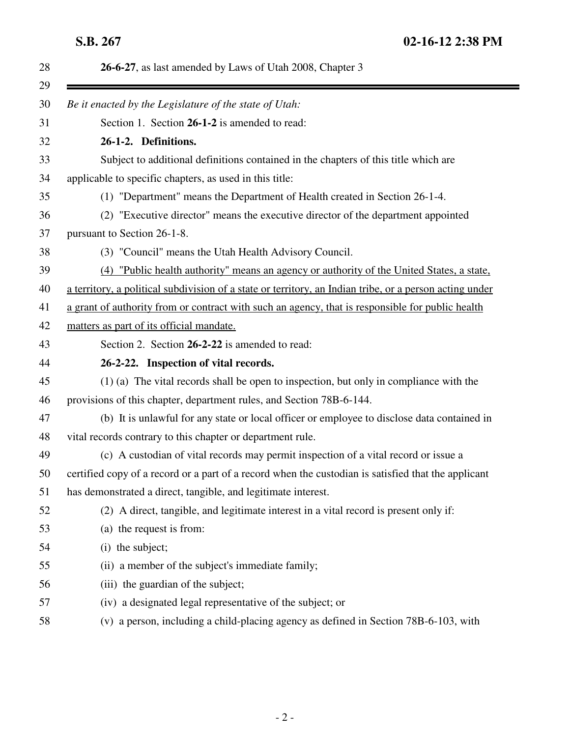| 28       | 26-6-27, as last amended by Laws of Utah 2008, Chapter 3                                                |
|----------|---------------------------------------------------------------------------------------------------------|
| 29<br>30 | Be it enacted by the Legislature of the state of Utah:                                                  |
| 31       | Section 1. Section 26-1-2 is amended to read:                                                           |
| 32       | 26-1-2. Definitions.                                                                                    |
| 33       | Subject to additional definitions contained in the chapters of this title which are                     |
| 34       | applicable to specific chapters, as used in this title:                                                 |
| 35       | (1) "Department" means the Department of Health created in Section 26-1-4.                              |
| 36       | (2) "Executive director" means the executive director of the department appointed                       |
| 37       | pursuant to Section 26-1-8.                                                                             |
| 38       | (3) "Council" means the Utah Health Advisory Council.                                                   |
| 39       | (4) "Public health authority" means an agency or authority of the United States, a state,               |
| 40       | a territory, a political subdivision of a state or territory, an Indian tribe, or a person acting under |
| 41       | a grant of authority from or contract with such an agency, that is responsible for public health        |
| 42       | matters as part of its official mandate.                                                                |
| 43       | Section 2. Section 26-2-22 is amended to read:                                                          |
| 44       | 26-2-22. Inspection of vital records.                                                                   |
| 45       | $(1)$ (a) The vital records shall be open to inspection, but only in compliance with the                |
| 46       | provisions of this chapter, department rules, and Section 78B-6-144.                                    |
| 47       | (b) It is unlawful for any state or local officer or employee to disclose data contained in             |
| 48       | vital records contrary to this chapter or department rule.                                              |
| 49       | (c) A custodian of vital records may permit inspection of a vital record or issue a                     |
| 50       | certified copy of a record or a part of a record when the custodian is satisfied that the applicant     |
| 51       | has demonstrated a direct, tangible, and legitimate interest.                                           |
| 52       | (2) A direct, tangible, and legitimate interest in a vital record is present only if:                   |
| 53       | (a) the request is from:                                                                                |
| 54       | (i) the subject;                                                                                        |
| 55       | (ii) a member of the subject's immediate family;                                                        |
| 56       | (iii) the guardian of the subject;                                                                      |
| 57       | (iv) a designated legal representative of the subject; or                                               |
| 58       | (v) a person, including a child-placing agency as defined in Section 78B-6-103, with                    |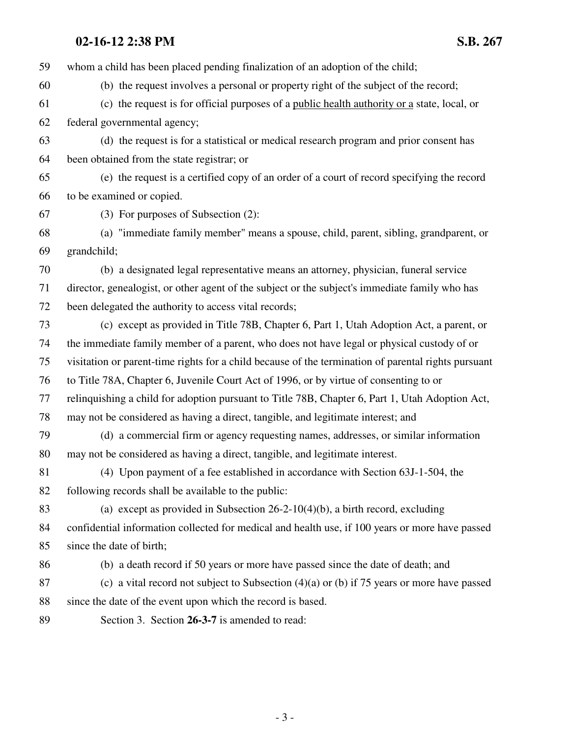### **02-16-12 2:38 PM S.B. 267**

59 whom a child has been placed pending finalization of an adoption of the child; 60 (b) the request involves a personal or property right of the subject of the record; 61 (c) the request is for official purposes of a public health authority or a state, local, or 62 federal governmental agency; 63 (d) the request is for a statistical or medical research program and prior consent has 64 been obtained from the state registrar; or 65 (e) the request is a certified copy of an order of a court of record specifying the record 66 to be examined or copied. 67 (3) For purposes of Subsection (2): 68 (a) "immediate family member" means a spouse, child, parent, sibling, grandparent, or 69 grandchild; 70 (b) a designated legal representative means an attorney, physician, funeral service 71 director, genealogist, or other agent of the subject or the subject's immediate family who has 72 been delegated the authority to access vital records; 73 (c) except as provided in Title 78B, Chapter 6, Part 1, Utah Adoption Act, a parent, or 74 the immediate family member of a parent, who does not have legal or physical custody of or 75 visitation or parent-time rights for a child because of the termination of parental rights pursuant 76 to Title 78A, Chapter 6, Juvenile Court Act of 1996, or by virtue of consenting to or 77 relinquishing a child for adoption pursuant to Title 78B, Chapter 6, Part 1, Utah Adoption Act, 78 may not be considered as having a direct, tangible, and legitimate interest; and 79 (d) a commercial firm or agency requesting names, addresses, or similar information 80 may not be considered as having a direct, tangible, and legitimate interest. 81 (4) Upon payment of a fee established in accordance with Section 63J-1-504, the 82 following records shall be available to the public: 83 (a) except as provided in Subsection 26-2-10(4)(b), a birth record, excluding 84 confidential information collected for medical and health use, if 100 years or more have passed 85 since the date of birth; 86 (b) a death record if 50 years or more have passed since the date of death; and 87 (c) a vital record not subject to Subsection (4)(a) or (b) if 75 years or more have passed 88 since the date of the event upon which the record is based. 89 Section 3. Section **26-3-7** is amended to read: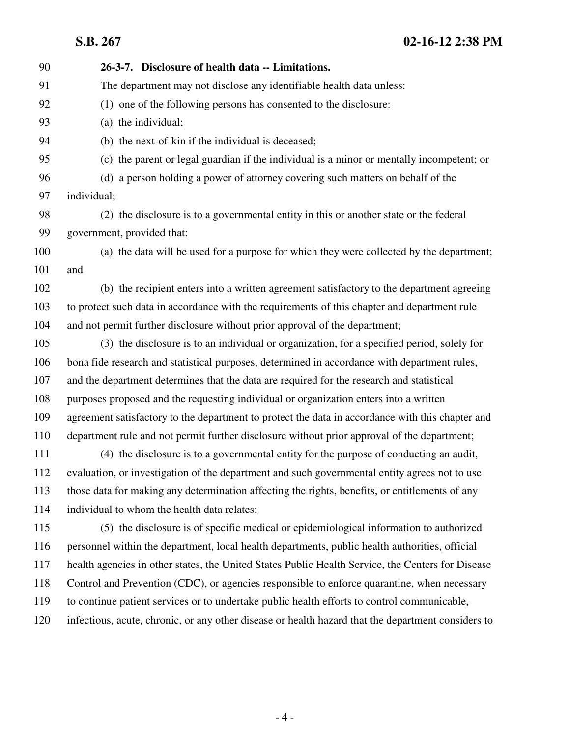**S.B. 267 02-16-12 2:38 PM**

| 90  | 26-3-7. Disclosure of health data -- Limitations.                                                  |
|-----|----------------------------------------------------------------------------------------------------|
| 91  | The department may not disclose any identifiable health data unless:                               |
| 92  | (1) one of the following persons has consented to the disclosure:                                  |
| 93  | (a) the individual;                                                                                |
| 94  | (b) the next-of-kin if the individual is deceased;                                                 |
| 95  | (c) the parent or legal guardian if the individual is a minor or mentally incompetent; or          |
| 96  | (d) a person holding a power of attorney covering such matters on behalf of the                    |
| 97  | individual;                                                                                        |
| 98  | (2) the disclosure is to a governmental entity in this or another state or the federal             |
| 99  | government, provided that:                                                                         |
| 100 | (a) the data will be used for a purpose for which they were collected by the department;           |
| 101 | and                                                                                                |
| 102 | (b) the recipient enters into a written agreement satisfactory to the department agreeing          |
| 103 | to protect such data in accordance with the requirements of this chapter and department rule       |
| 104 | and not permit further disclosure without prior approval of the department;                        |
| 105 | (3) the disclosure is to an individual or organization, for a specified period, solely for         |
| 106 | bona fide research and statistical purposes, determined in accordance with department rules,       |
| 107 | and the department determines that the data are required for the research and statistical          |
| 108 | purposes proposed and the requesting individual or organization enters into a written              |
| 109 | agreement satisfactory to the department to protect the data in accordance with this chapter and   |
| 110 | department rule and not permit further disclosure without prior approval of the department;        |
| 111 | (4) the disclosure is to a governmental entity for the purpose of conducting an audit,             |
| 112 | evaluation, or investigation of the department and such governmental entity agrees not to use      |
| 113 | those data for making any determination affecting the rights, benefits, or entitlements of any     |
| 114 | individual to whom the health data relates;                                                        |
| 115 | (5) the disclosure is of specific medical or epidemiological information to authorized             |
| 116 | personnel within the department, local health departments, public health authorities, official     |
| 117 | health agencies in other states, the United States Public Health Service, the Centers for Disease  |
| 118 | Control and Prevention (CDC), or agencies responsible to enforce quarantine, when necessary        |
| 119 | to continue patient services or to undertake public health efforts to control communicable,        |
| 120 | infectious, acute, chronic, or any other disease or health hazard that the department considers to |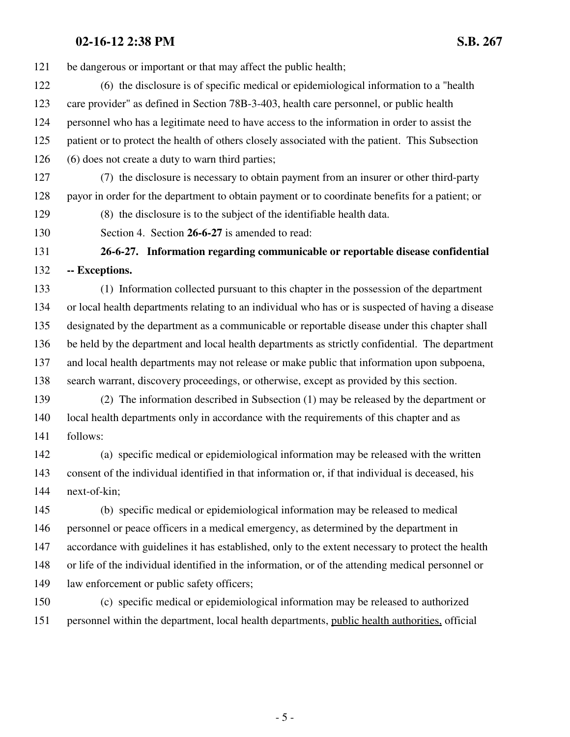### **02-16-12 2:38 PM S.B. 267**

121 be dangerous or important or that may affect the public health;

- 122 (6) the disclosure is of specific medical or epidemiological information to a "health 123 care provider" as defined in Section 78B-3-403, health care personnel, or public health 124 personnel who has a legitimate need to have access to the information in order to assist the 125 patient or to protect the health of others closely associated with the patient. This Subsection 126 (6) does not create a duty to warn third parties;
- 127 (7) the disclosure is necessary to obtain payment from an insurer or other third-party 128 payor in order for the department to obtain payment or to coordinate benefits for a patient; or

129 (8) the disclosure is to the subject of the identifiable health data.

130 Section 4. Section **26-6-27** is amended to read:

## 131 **26-6-27. Information regarding communicable or reportable disease confidential** 132 **-- Exceptions.**

133 (1) Information collected pursuant to this chapter in the possession of the department 134 or local health departments relating to an individual who has or is suspected of having a disease 135 designated by the department as a communicable or reportable disease under this chapter shall 136 be held by the department and local health departments as strictly confidential. The department 137 and local health departments may not release or make public that information upon subpoena, 138 search warrant, discovery proceedings, or otherwise, except as provided by this section.

139 (2) The information described in Subsection (1) may be released by the department or 140 local health departments only in accordance with the requirements of this chapter and as 141 follows:

142 (a) specific medical or epidemiological information may be released with the written 143 consent of the individual identified in that information or, if that individual is deceased, his 144 next-of-kin;

145 (b) specific medical or epidemiological information may be released to medical 146 personnel or peace officers in a medical emergency, as determined by the department in 147 accordance with guidelines it has established, only to the extent necessary to protect the health 148 or life of the individual identified in the information, or of the attending medical personnel or 149 law enforcement or public safety officers;

150 (c) specific medical or epidemiological information may be released to authorized 151 personnel within the department, local health departments, public health authorities, official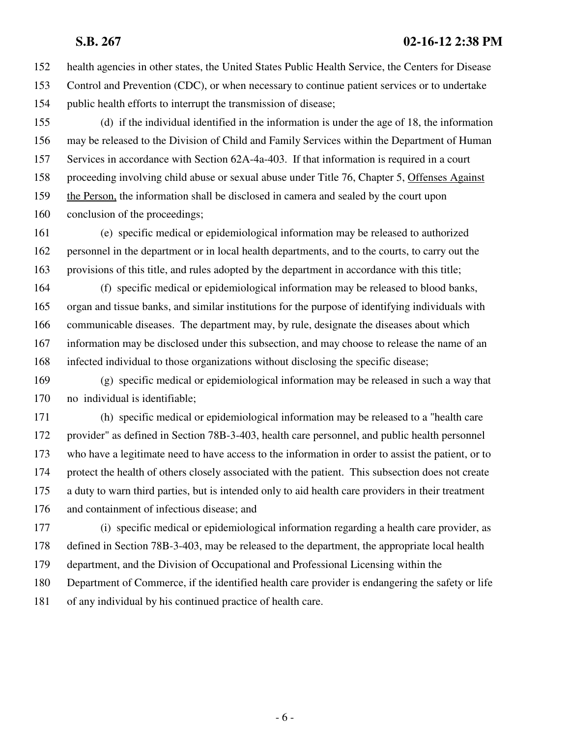#### **S.B. 267 02-16-12 2:38 PM**

152 health agencies in other states, the United States Public Health Service, the Centers for Disease 153 Control and Prevention (CDC), or when necessary to continue patient services or to undertake 154 public health efforts to interrupt the transmission of disease;

155 (d) if the individual identified in the information is under the age of 18, the information 156 may be released to the Division of Child and Family Services within the Department of Human 157 Services in accordance with Section 62A-4a-403. If that information is required in a court 158 proceeding involving child abuse or sexual abuse under Title 76, Chapter 5, Offenses Against 159 the Person, the information shall be disclosed in camera and sealed by the court upon 160 conclusion of the proceedings;

161 (e) specific medical or epidemiological information may be released to authorized 162 personnel in the department or in local health departments, and to the courts, to carry out the 163 provisions of this title, and rules adopted by the department in accordance with this title;

164 (f) specific medical or epidemiological information may be released to blood banks, 165 organ and tissue banks, and similar institutions for the purpose of identifying individuals with 166 communicable diseases. The department may, by rule, designate the diseases about which 167 information may be disclosed under this subsection, and may choose to release the name of an 168 infected individual to those organizations without disclosing the specific disease;

169 (g) specific medical or epidemiological information may be released in such a way that 170 no individual is identifiable;

171 (h) specific medical or epidemiological information may be released to a "health care 172 provider" as defined in Section 78B-3-403, health care personnel, and public health personnel 173 who have a legitimate need to have access to the information in order to assist the patient, or to 174 protect the health of others closely associated with the patient. This subsection does not create 175 a duty to warn third parties, but is intended only to aid health care providers in their treatment 176 and containment of infectious disease; and

177 (i) specific medical or epidemiological information regarding a health care provider, as 178 defined in Section 78B-3-403, may be released to the department, the appropriate local health 179 department, and the Division of Occupational and Professional Licensing within the 180 Department of Commerce, if the identified health care provider is endangering the safety or life 181 of any individual by his continued practice of health care.